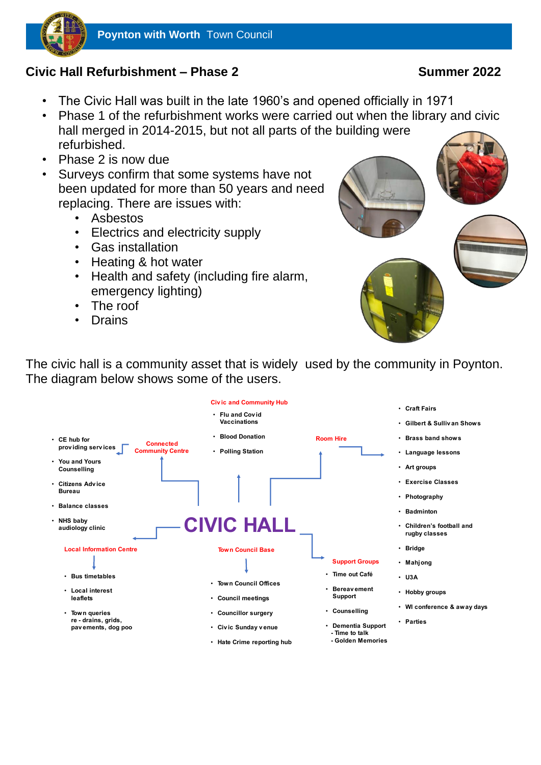

i

# **Civic Hall Refurbishment – Phase 2 Summer 2022**

- The Civic Hall was built in the late 1960's and opened officially in 1971
- Phase 1 of the refurbishment works were carried out when the library and civic hall merged in 2014-2015, but not all parts of the building were refurbished.
- Phase 2 is now due
- Surveys confirm that some systems have not been updated for more than 50 years and need replacing. There are issues with:
	- Asbestos
	- Electrics and electricity supply
	- Gas installation
	- Heating & hot water
	- Health and safety (including fire alarm, emergency lighting)
	- The roof
	- Drains



The civic hall is a community asset that is widely used by the community in Poynton. The diagram below shows some of the users.

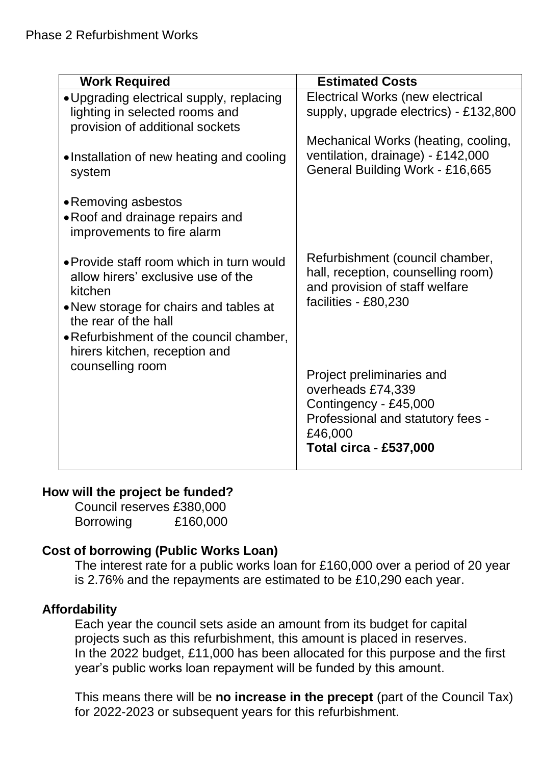| <b>Work Required</b>                     | <b>Estimated Costs</b>                |
|------------------------------------------|---------------------------------------|
| • Upgrading electrical supply, replacing | Electrical Works (new electrical      |
| lighting in selected rooms and           | supply, upgrade electrics) - £132,800 |
| provision of additional sockets          |                                       |
|                                          | Mechanical Works (heating, cooling,   |
| •Installation of new heating and cooling | ventilation, drainage) - £142,000     |
| system                                   | General Building Work - £16,665       |
|                                          |                                       |
| • Removing asbestos                      |                                       |
| • Roof and drainage repairs and          |                                       |
| improvements to fire alarm               |                                       |
|                                          |                                       |
| • Provide staff room which in turn would | Refurbishment (council chamber,       |
| allow hirers' exclusive use of the       | hall, reception, counselling room)    |
| kitchen                                  | and provision of staff welfare        |
|                                          | facilities - £80,230                  |
| . New storage for chairs and tables at   |                                       |
| the rear of the hall                     |                                       |
| . Refurbishment of the council chamber,  |                                       |
| hirers kitchen, reception and            |                                       |
| counselling room                         |                                       |
|                                          | Project preliminaries and             |
|                                          | overheads £74,339                     |
|                                          | Contingency - £45,000                 |
|                                          | Professional and statutory fees -     |
|                                          | £46,000                               |
|                                          | <b>Total circa - £537,000</b>         |
|                                          |                                       |

# **How will the project be funded?**

Council reserves £380,000 Borrowing £160,000

# **Cost of borrowing (Public Works Loan)**

The interest rate for a public works loan for £160,000 over a period of 20 year is 2.76% and the repayments are estimated to be £10,290 each year.

# **Affordability**

Each year the council sets aside an amount from its budget for capital projects such as this refurbishment, this amount is placed in reserves. In the 2022 budget, £11,000 has been allocated for this purpose and the first year's public works loan repayment will be funded by this amount.

This means there will be **no increase in the precept** (part of the Council Tax) for 2022-2023 or subsequent years for this refurbishment.